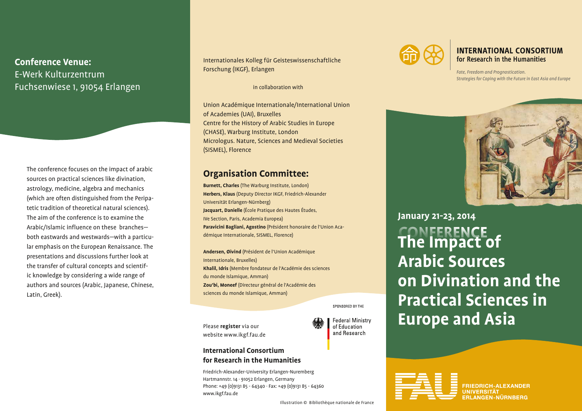# **Conference Venue:** E-Werk Kulturzentrum Fuchsenwiese 1, 91054 Erlangen

The conference focuses on the impact of arabic sources on practical sciences like divination, astrology, medicine, algebra and mechanics (which are often distinguished from the Peripatetic tradition of theoretical natural sciences). The aim of the conference is to examine the Arabic/Islamic influence on these branches both eastwards and westwards—with a particular emphasis on the European Renaissance. The presentations and discussions further look at the transfer of cultural concepts and scientific knowledge by considering a wide range of authors and sources (Arabic, Japanese, Chinese, Latin, Greek).

Internationales Kolleg für Geisteswissenschaftliche Forschung (IKGF), Erlangen

in collaboration with

Union Académique Internationale/International Union of Academies (UAI), Bruxelles Centre for the History of Arabic Studies in Europe (CHASE), Warburg Institute, London Micrologus. Nature, Sciences and Medieval Societies (SISMEL), Florence

### **Organisation Committee:**

**Burnett, Charles** (The Warburg Institute, London) **Herbers, Klaus** (Deputy Director IKGF, Friedrich-Alexander Universität Erlangen-Nürnberg) **Jacquart, Danielle** (École Pratique des Hautes Études, IVe Section, Paris, Academia Europea) **Paravicini Bagliani, Agostino** (Président honoraire de l'Union Académique Internationale, SISMEL, Florence)

**Andersen, Øivind** (Président de l'Union Académique Internationale, Bruxelles) **Khalil, Idris** (Membre fondateur de l'Académie des sciences du monde Islamique, Amman) **Zou'bi, Moneef** (Directeur général de l'Académie des sciences du monde Islamique, Amman)

SPONSORED BY THE

**Federal Ministry** of Education and Research

Please **register** via our website www.ikgf.fau.de

### **International Consortium for Research in the Humanities**

Friedrich-Alexander-University Erlangen-Nuremberg Hartmannstr. 14 · 91052 Erlangen, Germany Phone: +49 (0)9131 85 - 64340 · Fax: +49 (0)9131 85 - 64360 www.ikgf.fau.de



**INTERNATIONAL CONSORTIUM** for Research in the Humanities

*Fate, Freedom and Prognostication. Strategies for Coping with the Future in East Asia and Europe*

**CONFERENCE The Impact of Arabic Sources on Divination and the Practical Sciences in Europe and Asia January 21-23, 2014**



Illustration © Bibliothèque nationale de France